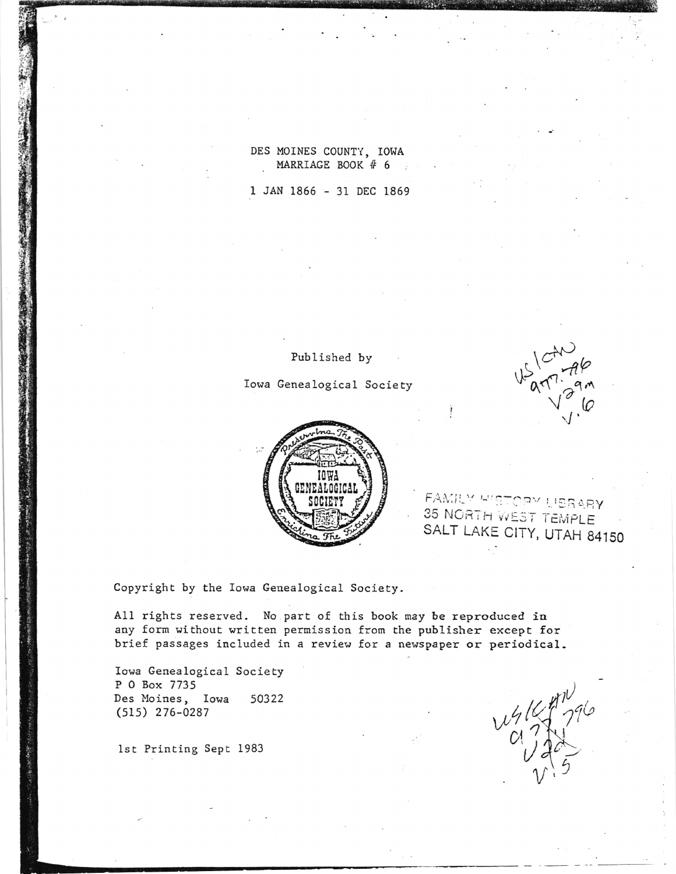DES MOINES COUNTY, IOWA MARRIAGE BOOK # 6

1 JAN 1866 - 31 DEC 1869

Iowa Genealogical Society

Published by



FAMILY HISTORY USRARY 35 NORTH WEST TEMPLE SALT LAKE CITY, UTAH 84150

 $151246$ 

Copyright by the Iowa Genealogical Society.

All rights reserved. No part of this book may be reproduced in any form without written permission from the publisher except for brief passages included in a review for a newspaper or periodical.

Iowa Genealogical Society P 0 Box 7735 50322 Des Moines, Iowa  $(515)$  276-0287

1st Printing Sept 1983

 $412770$